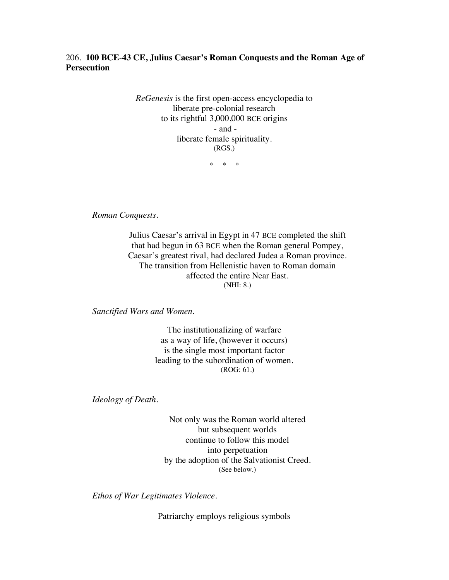## 206. **100 BCE**-**43 CE, Julius Caesar's Roman Conquests and the Roman Age of Persecution**

*ReGenesis* is the first open-access encyclopedia to liberate pre-colonial research to its rightful 3,000,000 BCE origins - and liberate female spirituality. (RGS.)

\* \* \*

*Roman Conquests.*

Julius Caesar's arrival in Egypt in 47 BCE completed the shift that had begun in 63 BCE when the Roman general Pompey, Caesar's greatest rival, had declared Judea a Roman province. The transition from Hellenistic haven to Roman domain affected the entire Near East. (NHI: 8.)

*Sanctified Wars and Women.*

The institutionalizing of warfare as a way of life, (however it occurs) is the single most important factor leading to the subordination of women. (ROG: 61.)

*Ideology of Death.*

Not only was the Roman world altered but subsequent worlds continue to follow this model into perpetuation by the adoption of the Salvationist Creed. (See below.)

*Ethos of War Legitimates Violence.*

Patriarchy employs religious symbols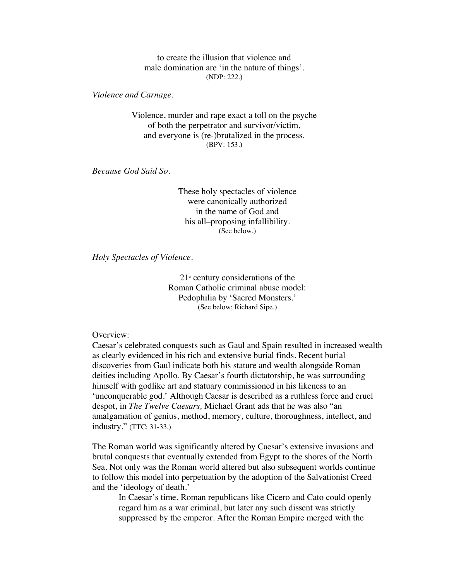to create the illusion that violence and male domination are 'in the nature of things'. (NDP: 222.)

*Violence and Carnage.*

Violence, murder and rape exact a toll on the psyche of both the perpetrator and survivor/victim, and everyone is (re-)brutalized in the process. (BPV: 153.)

*Because God Said So.*

These holy spectacles of violence were canonically authorized in the name of God and his all–proposing infallibility. (See below.)

*Holy Spectacles of Violence.*

 $21<sup>s</sup>$  century considerations of the Roman Catholic criminal abuse model: Pedophilia by 'Sacred Monsters.' (See below; Richard Sipe.)

Overview:

Caesar's celebrated conquests such as Gaul and Spain resulted in increased wealth as clearly evidenced in his rich and extensive burial finds. Recent burial discoveries from Gaul indicate both his stature and wealth alongside Roman deities including Apollo. By Caesar's fourth dictatorship, he was surrounding himself with godlike art and statuary commissioned in his likeness to an 'unconquerable god.' Although Caesar is described as a ruthless force and cruel despot, in *The Twelve Caesars,* Michael Grant ads that he was also "an amalgamation of genius, method, memory, culture, thoroughness, intellect, and industry." (TTC: 31-33.)

The Roman world was significantly altered by Caesar's extensive invasions and brutal conquests that eventually extended from Egypt to the shores of the North Sea. Not only was the Roman world altered but also subsequent worlds continue to follow this model into perpetuation by the adoption of the Salvationist Creed and the 'ideology of death.'

In Caesar's time, Roman republicans like Cicero and Cato could openly regard him as a war criminal, but later any such dissent was strictly suppressed by the emperor. After the Roman Empire merged with the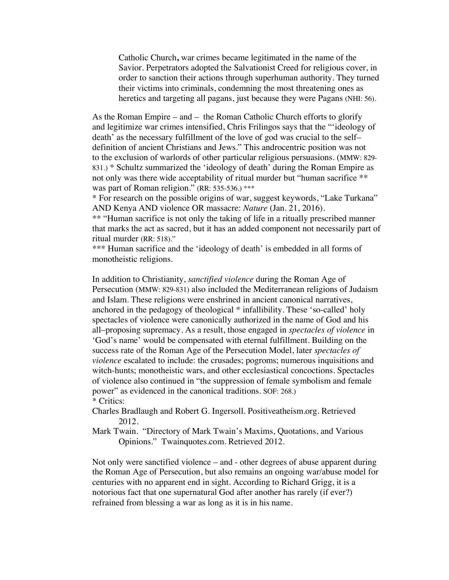Catholic Church**,** war crimes became legitimated in the name of the Savior. Perpetrators adopted the Salvationist Creed for religious cover, in order to sanction their actions through superhuman authority. They turned their victims into criminals, condemning the most threatening ones as heretics and targeting all pagans, just because they were Pagans (NHI: 56).

As the Roman Empire – and – the Roman Catholic Church efforts to glorify and legitimize war crimes intensified, Chris Frilingos says that the "'ideology of death' as the necessary fulfillment of the love of god was crucial to the self– definition of ancient Christians and Jews." This androcentric position was not to the exclusion of warlords of other particular religious persuasions. (MMW: 829- 831.) \* Schultz summarized the 'ideology of death' during the Roman Empire as not only was there wide acceptability of ritual murder but "human sacrifice \*\* was part of Roman religion." (RR: 535-536.) \*\*\*

\* For research on the possible origins of war, suggest keywords, "Lake Turkana" AND Kenya AND violence OR massacre: *Nature* (Jan. 21, 2016).

\*\* "Human sacrifice is not only the taking of life in a ritually prescribed manner that marks the act as sacred, but it has an added component not necessarily part of ritual murder (RR: 518)."

\*\*\* Human sacrifice and the 'ideology of death' is embedded in all forms of monotheistic religions.

In addition to Christianity, *sanctified violence* during the Roman Age of Persecution (MMW: 829-831) also included the Mediterranean religions of Judaism and Islam. These religions were enshrined in ancient canonical narratives, anchored in the pedagogy of theological \* infallibility. These 'so-called' holy spectacles of violence were canonically authorized in the name of God and his all–proposing supremacy. As a result, those engaged in *spectacles of violence* in 'God's name' would be compensated with eternal fulfillment. Building on the success rate of the Roman Age of the Persecution Model, later *spectacles of violence* escalated to include: the crusades; pogroms; numerous inquisitions and witch-hunts; monotheistic wars, and other ecclesiastical concoctions. Spectacles of violence also continued in "the suppression of female symbolism and female power" as evidenced in the canonical traditions. SOF: 268.) \* Critics:

Charles Bradlaugh and Robert G. Ingersoll. Positiveatheism.org. Retrieved 2012.

Mark Twain. "Directory of Mark Twain's Maxims, Quotations, and Various Opinions." Twainquotes.com. Retrieved 2012.

Not only were sanctified violence – and - other degrees of abuse apparent during the Roman Age of Persecution, but also remains an ongoing war/abuse model for centuries with no apparent end in sight. According to Richard Grigg, it is a notorious fact that one supernatural God after another has rarely (if ever?) refrained from blessing a war as long as it is in his name.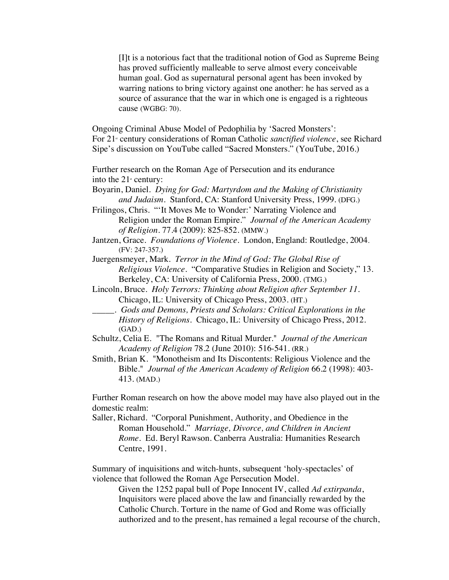[I]t is a notorious fact that the traditional notion of God as Supreme Being has proved sufficiently malleable to serve almost every conceivable human goal. God as supernatural personal agent has been invoked by warring nations to bring victory against one another: he has served as a source of assurance that the war in which one is engaged is a righteous cause (WGBG: 70).

Ongoing Criminal Abuse Model of Pedophilia by 'Sacred Monsters': For 21<sup>*x*</sup> century considerations of Roman Catholic *sanctified violence*, see Richard Sipe's discussion on YouTube called "Sacred Monsters." (YouTube, 2016.)

Further research on the Roman Age of Persecution and its endurance into the  $21<sup>st</sup>$  century:

Boyarin, Daniel. *Dying for God: Martyrdom and the Making of Christianity and Judaism.* Stanford, CA: Stanford University Press, 1999. (DFG.)

Frilingos, Chris. "'It Moves Me to Wonder:' Narrating Violence and Religion under the Roman Empire." *Journal of the American Academy of Religion*. 77.4 (2009): 825-852. (MMW.)

Jantzen, Grace. *Foundations of Violence*. London, England: Routledge, 2004. (FV: 247-357.)

Juergensmeyer, Mark. *Terror in the Mind of God: The Global Rise of Religious Violence.* "Comparative Studies in Religion and Society," 13. Berkeley, CA: University of California Press, 2000. (TMG.)

Lincoln, Bruce. *Holy Terrors: Thinking about Religion after September 11.* Chicago, IL: University of Chicago Press, 2003. (HT.)

*\_\_\_\_\_. Gods and Demons, Priests and Scholars: Critical Explorations in the History of Religions*. Chicago, IL: University of Chicago Press, 2012. (GAD.)

Schultz, Celia E. "The Romans and Ritual Murder." *Journal of the American Academy of Religion* 78.2 (June 2010): 516-541. (RR.)

Smith, Brian K. "Monotheism and Its Discontents: Religious Violence and the Bible." *Journal of the American Academy of Religion* 66.2 (1998): 403- 413. (MAD.)

Further Roman research on how the above model may have also played out in the domestic realm:

Saller, Richard. "Corporal Punishment, Authority, and Obedience in the Roman Household."*Marriage, Divorce, and Children in Ancient Rome.* Ed. Beryl Rawson. Canberra Australia: Humanities Research Centre, 1991.

Summary of inquisitions and witch-hunts, subsequent 'holy-spectacles' of violence that followed the Roman Age Persecution Model.

Given the 1252 papal bull of Pope Innocent IV, called *Ad extirpanda*, Inquisitors were placed above the law and financially rewarded by the Catholic Church. Torture in the name of God and Rome was officially authorized and to the present, has remained a legal recourse of the church,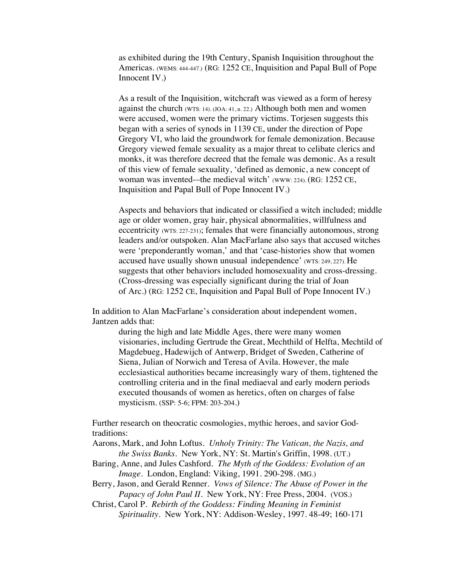as exhibited during the 19th Century, Spanish Inquisition throughout the Americas. (WEMS: 444-447.) (RG: 1252 CE, Inquisition and Papal Bull of Pope Innocent IV.)

As a result of the Inquisition, witchcraft was viewed as a form of heresy against the church (WTS: 14). (JOA: 41, n. 22.) Although both men and women were accused, women were the primary victims. Torjesen suggests this began with a series of synods in 1139 CE, under the direction of Pope Gregory VI, who laid the groundwork for female demonization. Because Gregory viewed female sexuality as a major threat to celibate clerics and monks, it was therefore decreed that the female was demonic. As a result of this view of female sexuality, 'defined as demonic, a new concept of woman was invented-–the medieval witch' (www: 224). (RG: 1252 CE, Inquisition and Papal Bull of Pope Innocent IV.)

Aspects and behaviors that indicated or classified a witch included; middle age or older women, gray hair, physical abnormalities, willfulness and eccentricity (WTS: 227-231); females that were financially autonomous, strong leaders and/or outspoken. Alan MacFarlane also says that accused witches were 'preponderantly woman,' and that 'case-histories show that women accused have usually shown unusual independence' (WTS: 249, 227). He suggests that other behaviors included homosexuality and cross-dressing. (Cross-dressing was especially significant during the trial of Joan of Arc.) (RG: 1252 CE, Inquisition and Papal Bull of Pope Innocent IV.)

In addition to Alan MacFarlane's consideration about independent women, Jantzen adds that:

during the high and late Middle Ages, there were many women visionaries, including Gertrude the Great, Mechthild of Helfta, Mechtild of Magdebueg, Hadewijch of Antwerp, Bridget of Sweden, Catherine of Siena, Julian of Norwich and Teresa of Avila. However, the male ecclesiastical authorities became increasingly wary of them, tightened the controlling criteria and in the final mediaeval and early modern periods executed thousands of women as heretics, often on charges of false mysticism. (SSP: 5-6; FPM: 203-204.)

Further research on theocratic cosmologies, mythic heroes, and savior Godtraditions:

- Aarons, Mark, and John Loftus. *Unholy Trinity: The Vatican, the Nazis, and the Swiss Banks*. New York, NY: St. Martin's Griffin, 1998. (UT.)
- Baring, Anne, and Jules Cashford. *The Myth of the Goddess: Evolution of an Image*. London, England: Viking, 1991. 290-298. (MG.)
- Berry, Jason, and Gerald Renner. *Vows of Silence: The Abuse of Power in the Papacy of John Paul II.* New York, NY: Free Press, 2004. (VOS.)
- Christ, Carol P. *Rebirth of the Goddess: Finding Meaning in Feminist Spirituality*. New York, NY: Addison-Wesley, 1997. 48-49; 160-171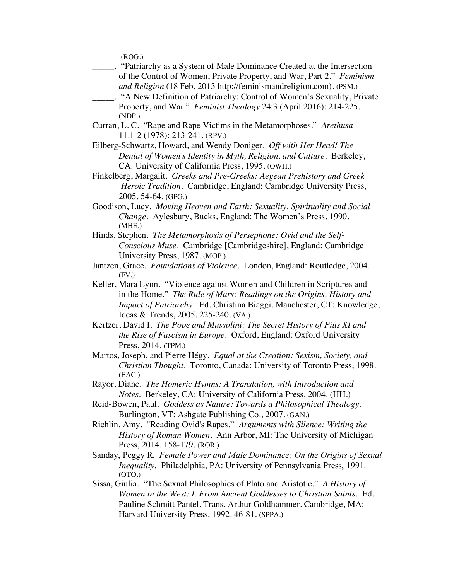(ROG.)

- \_\_\_\_\_. "Patriarchy as a System of Male Dominance Created at the Intersection of the Control of Women, Private Property, and War, Part 2." *Feminism and Religion* (18 Feb. 2013 http://feminismandreligion.com). (PSM.)
- \_\_\_\_\_. "A New Definition of Patriarchy: Control of Women's Sexuality, Private Property, and War." *Feminist Theology* 24:3 (April 2016): 214-225. (NDP.)
- Curran, L. C. "Rape and Rape Victims in the Metamorphoses." *Arethusa* 11.1-2 (1978): 213-241. (RPV.)
- Eilberg-Schwartz, Howard, and Wendy Doniger. *Off with Her Head! The Denial of Women's Identity in Myth, Religion, and Culture*. Berkeley, CA: University of California Press, 1995. (OWH.)
- Finkelberg, Margalit. *Greeks and Pre-Greeks: Aegean Prehistory and Greek Heroic Tradition.* Cambridge, England: Cambridge University Press, 2005. 54-64. (GPG.)
- Goodison, Lucy. *Moving Heaven and Earth: Sexuality, Spirituality and Social Change.* Aylesbury, Bucks, England: The Women's Press, 1990. (MHE.)
- Hinds, Stephen. *The Metamorphosis of Persephone: Ovid and the Self-Conscious Muse*. Cambridge [Cambridgeshire], England: Cambridge University Press, 1987. (MOP.)
- Jantzen, Grace. *Foundations of Violence*. London, England: Routledge, 2004.  $(FV)$
- Keller, Mara Lynn. "Violence against Women and Children in Scriptures and in the Home." *The Rule of Mars: Readings on the Origins, History and Impact of Patriarchy.* Ed. Christina Biaggi. Manchester, CT: Knowledge, Ideas & Trends, 2005. 225-240. (VA.)
- Kertzer, David I. *The Pope and Mussolini: The Secret History of Pius XI and the Rise of Fascism in Europe.* Oxford, England: Oxford University Press, 2014. (TPM.)
- Martos, Joseph, and Pierre Hégy. *Equal at the Creation: Sexism, Society, and Christian Thought*. Toronto, Canada: University of Toronto Press, 1998. (EAC.)
- Rayor, Diane. *The Homeric Hymns: A Translation, with Introduction and Notes.* Berkeley, CA: University of California Press, 2004. (HH.)
- Reid-Bowen, Paul. *Goddess as Nature: Towards a Philosophical Thealogy.* Burlington, VT: Ashgate Publishing Co., 2007. (GAN.)
- Richlin, Amy. "Reading Ovid's Rapes." *Arguments with Silence: Writing the History of Roman Women*. Ann Arbor, MI: The University of Michigan Press, 2014. 158-179. (ROR.)
- Sanday, Peggy R. *Female Power and Male Dominance: On the Origins of Sexual Inequality*. Philadelphia, PA: University of Pennsylvania Press, 1991. (OTO.)
- Sissa, Giulia. "The Sexual Philosophies of Plato and Aristotle." *A History of Women in the West: I. From Ancient Goddesses to Christian Saints.* Ed. Pauline Schmitt Pantel. Trans. Arthur Goldhammer. Cambridge, MA: Harvard University Press, 1992. 46-81. (SPPA.)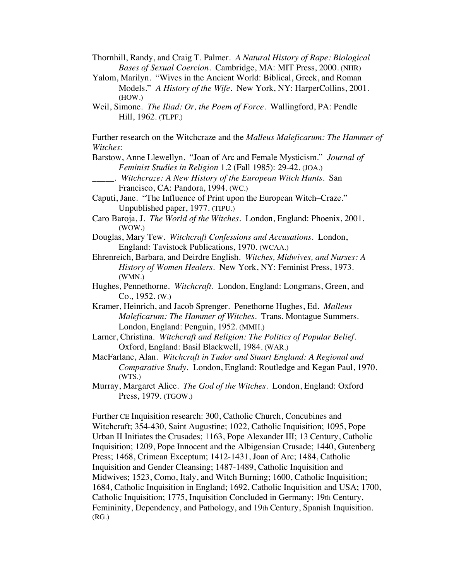Thornhill, Randy, and Craig T. Palmer. *A Natural History of Rape: Biological Bases of Sexual Coercion*. Cambridge, MA: MIT Press, 2000. (NHR)

- Yalom, Marilyn. "Wives in the Ancient World: Biblical, Greek, and Roman Models." *A History of the Wife*. New York, NY: HarperCollins, 2001. (HOW.)
- Weil, Simone. *The Iliad: Or, the Poem of Force*. Wallingford, PA: Pendle Hill, 1962. (TLPF.)

Further research on the Witchcraze and the *Malleus Maleficarum: The Hammer of Witches*:

Barstow, Anne Llewellyn. "Joan of Arc and Female Mysticism." *Journal of Feminist Studies in Religion* 1.2 (Fall 1985): 29-42. (JOA.)

\_\_\_\_\_. *Witchcraze: A New History of the European Witch Hunts*. San Francisco, CA: Pandora, 1994. (WC.)

- Caputi, Jane. "The Influence of Print upon the European Witch–Craze." Unpublished paper, 1977. (TIPU.)
- Caro Baroja, J. *The World of the Witches*. London, England: Phoenix, 2001. (WOW.)
- Douglas, Mary Tew. *Witchcraft Confessions and Accusations*. London, England: Tavistock Publications, 1970. (WCAA.)
- Ehrenreich, Barbara, and Deirdre English*. Witches, Midwives, and Nurses: A History of Women Healers*. New York, NY: Feminist Press, 1973. (WMN.)
- Hughes, Pennethorne. *Witchcraft*. London, England: Longmans, Green, and Co., 1952. (W.)
- Kramer, Heinrich, and Jacob Sprenger. Penethorne Hughes, Ed. *Malleus Maleficarum: The Hammer of Witches*. Trans. Montague Summers. London, England: Penguin, 1952. (MMH.)
- Larner, Christina. *Witchcraft and Religion: The Politics of Popular Belief*. Oxford, England: Basil Blackwell, 1984. (WAR.)
- MacFarlane, Alan. *Witchcraft in Tudor and Stuart England: A Regional and Comparative Study.* London, England: Routledge and Kegan Paul, 1970. (WTS.)
- Murray, Margaret Alice. *The God of the Witches*. London, England: Oxford Press, 1979. (TGOW.)

Further CE Inquisition research: 300, Catholic Church, Concubines and Witchcraft; 354-430, Saint Augustine; 1022, Catholic Inquisition; 1095, Pope Urban II Initiates the Crusades; 1163, Pope Alexander III; 13 Century, Catholic Inquisition; 1209, Pope Innocent and the Albigensian Crusade; 1440, Gutenberg Press; 1468, Crimean Exceptum; 1412-1431, Joan of Arc; 1484, Catholic Inquisition and Gender Cleansing; 1487-1489, Catholic Inquisition and Midwives; 1523, Como, Italy, and Witch Burning; 1600, Catholic Inquisition; 1684, Catholic Inquisition in England; 1692, Catholic Inquisition and USA; 1700, Catholic Inquisition; 1775, Inquisition Concluded in Germany; 19th Century, Femininity, Dependency, and Pathology, and 19th Century, Spanish Inquisition. (RG.)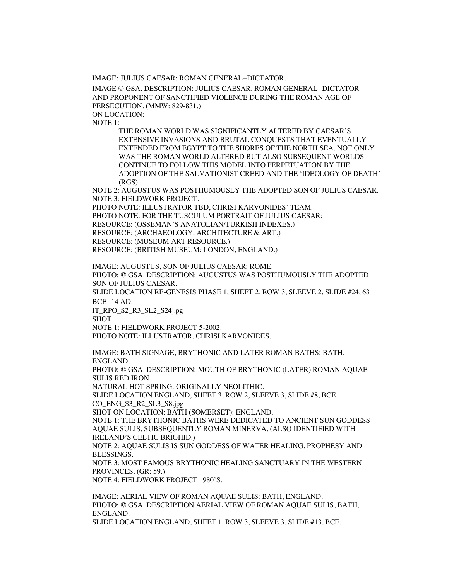IMAGE: JULIUS CAESAR: ROMAN GENERAL–DICTATOR.

IMAGE © GSA. DESCRIPTION: JULIUS CAESAR, ROMAN GENERAL–DICTATOR AND PROPONENT OF SANCTIFIED VIOLENCE DURING THE ROMAN AGE OF PERSECUTION. (MMW: 829-831.) ON LOCATION:

NOTE 1:

THE ROMAN WORLD WAS SIGNIFICANTLY ALTERED BY CAESAR'S EXTENSIVE INVASIONS AND BRUTAL CONQUESTS THAT EVENTUALLY EXTENDED FROM EGYPT TO THE SHORES OF THE NORTH SEA. NOT ONLY WAS THE ROMAN WORLD ALTERED BUT ALSO SUBSEQUENT WORLDS CONTINUE TO FOLLOW THIS MODEL INTO PERPETUATION BY THE ADOPTION OF THE SALVATIONIST CREED AND THE 'IDEOLOGY OF DEATH' (RGS).

NOTE 2: AUGUSTUS WAS POSTHUMOUSLY THE ADOPTED SON OF JULIUS CAESAR. NOTE 3: FIELDWORK PROJECT.

PHOTO NOTE: ILLUSTRATOR TBD, CHRISI KARVONIDES' TEAM. PHOTO NOTE: FOR THE TUSCULUM PORTRAIT OF JULIUS CAESAR: RESOURCE: (OSSEMAN'S ANATOLIAN/TURKISH INDEXES.) RESOURCE: (ARCHAEOLOGY, ARCHITECTURE & ART.) RESOURCE: (MUSEUM ART RESOURCE.) RESOURCE: (BRITISH MUSEUM: LONDON, ENGLAND.)

IMAGE: AUGUSTUS, SON OF JULIUS CAESAR: ROME. PHOTO: © GSA. DESCRIPTION: AUGUSTUS WAS POSTHUMOUSLY THE ADOPTED SON OF JULIUS CAESAR.

SLIDE LOCATION RE-GENESIS PHASE 1, SHEET 2, ROW 3, SLEEVE 2, SLIDE #24, 63 BCE–14 AD.

IT\_RPO\_S2\_R3\_SL2\_S24j.pg SHOT

NOTE 1: FIELDWORK PROJECT 5-2002.

PHOTO NOTE: ILLUSTRATOR, CHRISI KARVONIDES.

IMAGE: BATH SIGNAGE, BRYTHONIC AND LATER ROMAN BATHS: BATH, ENGLAND.

PHOTO: © GSA. DESCRIPTION: MOUTH OF BRYTHONIC (LATER) ROMAN AQUAE SULIS RED IRON

NATURAL HOT SPRING: ORIGINALLY NEOLITHIC.

SLIDE LOCATION ENGLAND, SHEET 3, ROW 2, SLEEVE 3, SLIDE #8, BCE. CO\_ENG\_S3\_R2\_SL3\_S8.jpg

SHOT ON LOCATION: BATH (SOMERSET): ENGLAND.

NOTE 1: THE BRYTHONIC BATHS WERE DEDICATED TO ANCIENT SUN GODDESS AQUAE SULIS, SUBSEQUENTLY ROMAN MINERVA. (ALSO IDENTIFIED WITH IRELAND'S CELTIC BRIGHID.)

NOTE 2: AQUAE SULIS IS SUN GODDESS OF WATER HEALING, PROPHESY AND BLESSINGS.

NOTE 3: MOST FAMOUS BRYTHONIC HEALING SANCTUARY IN THE WESTERN PROVINCES. (GR: 59.)

NOTE 4: FIELDWORK PROJECT 1980'S.

IMAGE: AERIAL VIEW OF ROMAN AQUAE SULIS: BATH, ENGLAND. PHOTO: © GSA. DESCRIPTION AERIAL VIEW OF ROMAN AQUAE SULIS, BATH, ENGLAND.

SLIDE LOCATION ENGLAND, SHEET 1, ROW 3, SLEEVE 3, SLIDE #13, BCE.